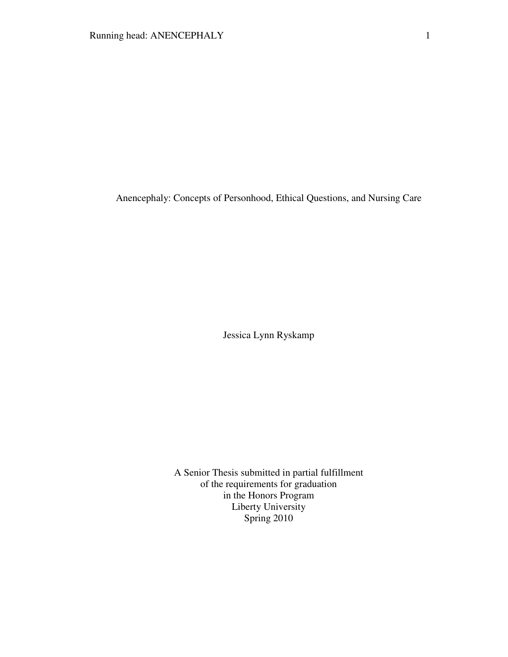Anencephaly: Concepts of Personhood, Ethical Questions, and Nursing Care

Jessica Lynn Ryskamp

A Senior Thesis submitted in partial fulfillment of the requirements for graduation in the Honors Program Liberty University Spring 2010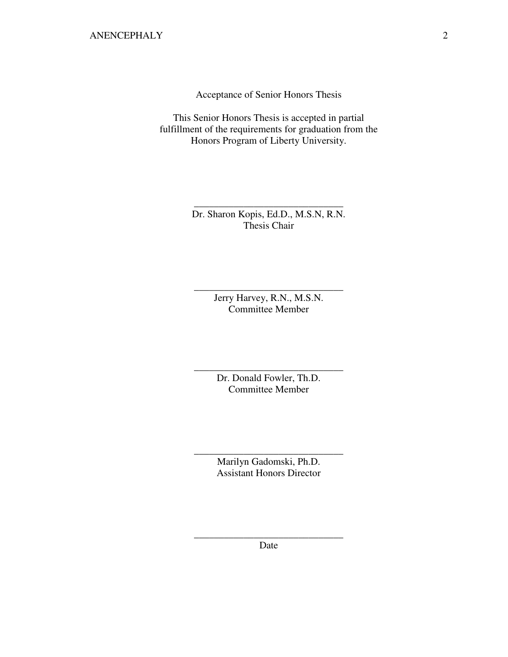Acceptance of Senior Honors Thesis

This Senior Honors Thesis is accepted in partial fulfillment of the requirements for graduation from the Honors Program of Liberty University.

> Dr. Sharon Kopis, Ed.D., M.S.N, R.N. Thesis Chair

\_\_\_\_\_\_\_\_\_\_\_\_\_\_\_\_\_\_\_\_\_\_\_\_\_\_\_\_\_\_

Jerry Harvey, R.N., M.S.N. Committee Member

\_\_\_\_\_\_\_\_\_\_\_\_\_\_\_\_\_\_\_\_\_\_\_\_\_\_\_\_\_\_

Dr. Donald Fowler, Th.D. Committee Member

\_\_\_\_\_\_\_\_\_\_\_\_\_\_\_\_\_\_\_\_\_\_\_\_\_\_\_\_\_\_

Marilyn Gadomski, Ph.D. Assistant Honors Director

\_\_\_\_\_\_\_\_\_\_\_\_\_\_\_\_\_\_\_\_\_\_\_\_\_\_\_\_\_\_

\_\_\_\_\_\_\_\_\_\_\_\_\_\_\_\_\_\_\_\_\_\_\_\_\_\_\_\_\_\_ Date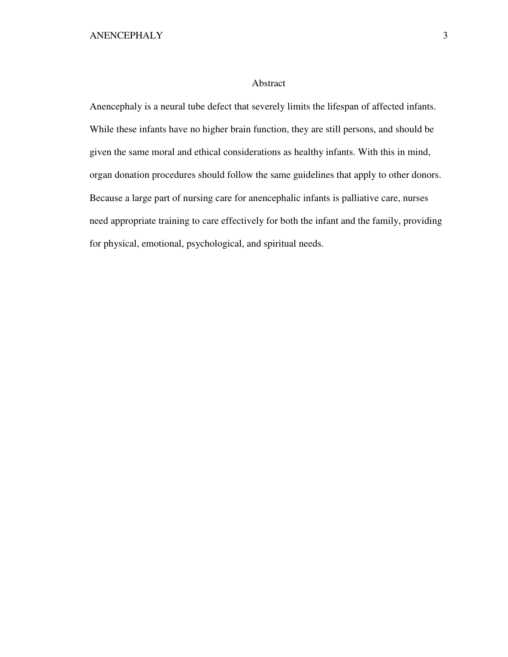# Abstract

Anencephaly is a neural tube defect that severely limits the lifespan of affected infants. While these infants have no higher brain function, they are still persons, and should be given the same moral and ethical considerations as healthy infants. With this in mind, organ donation procedures should follow the same guidelines that apply to other donors. Because a large part of nursing care for anencephalic infants is palliative care, nurses need appropriate training to care effectively for both the infant and the family, providing for physical, emotional, psychological, and spiritual needs.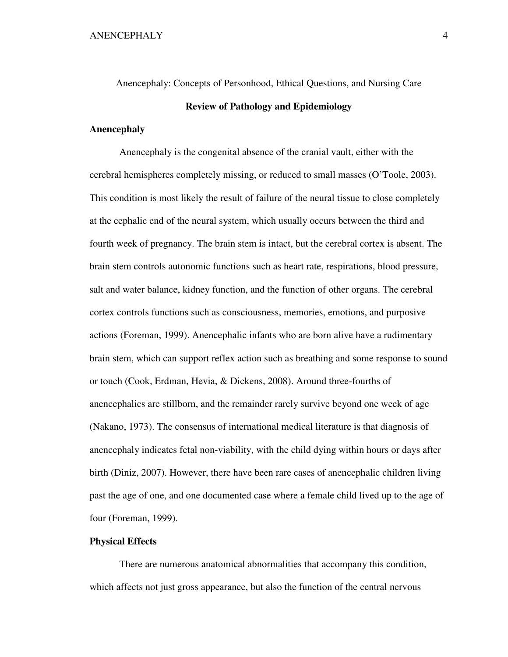Anencephaly: Concepts of Personhood, Ethical Questions, and Nursing Care

# **Review of Pathology and Epidemiology**

## **Anencephaly**

Anencephaly is the congenital absence of the cranial vault, either with the cerebral hemispheres completely missing, or reduced to small masses (O'Toole, 2003). This condition is most likely the result of failure of the neural tissue to close completely at the cephalic end of the neural system, which usually occurs between the third and fourth week of pregnancy. The brain stem is intact, but the cerebral cortex is absent. The brain stem controls autonomic functions such as heart rate, respirations, blood pressure, salt and water balance, kidney function, and the function of other organs. The cerebral cortex controls functions such as consciousness, memories, emotions, and purposive actions (Foreman, 1999). Anencephalic infants who are born alive have a rudimentary brain stem, which can support reflex action such as breathing and some response to sound or touch (Cook, Erdman, Hevia, & Dickens, 2008). Around three-fourths of anencephalics are stillborn, and the remainder rarely survive beyond one week of age (Nakano, 1973). The consensus of international medical literature is that diagnosis of anencephaly indicates fetal non-viability, with the child dying within hours or days after birth (Diniz, 2007). However, there have been rare cases of anencephalic children living past the age of one, and one documented case where a female child lived up to the age of four (Foreman, 1999).

# **Physical Effects**

There are numerous anatomical abnormalities that accompany this condition, which affects not just gross appearance, but also the function of the central nervous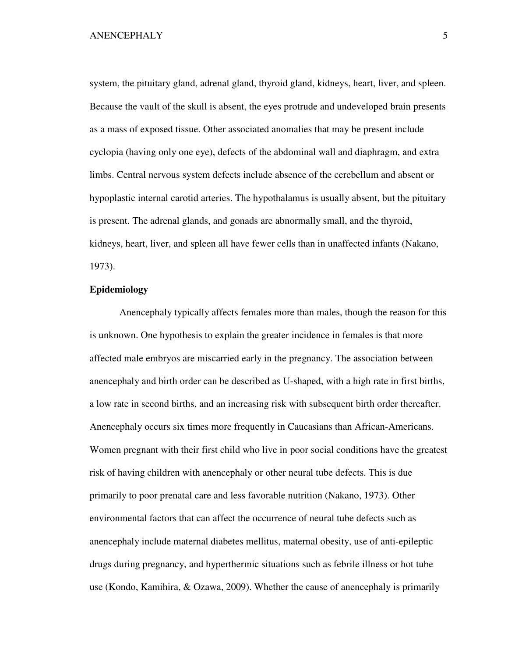system, the pituitary gland, adrenal gland, thyroid gland, kidneys, heart, liver, and spleen. Because the vault of the skull is absent, the eyes protrude and undeveloped brain presents as a mass of exposed tissue. Other associated anomalies that may be present include cyclopia (having only one eye), defects of the abdominal wall and diaphragm, and extra limbs. Central nervous system defects include absence of the cerebellum and absent or hypoplastic internal carotid arteries. The hypothalamus is usually absent, but the pituitary is present. The adrenal glands, and gonads are abnormally small, and the thyroid, kidneys, heart, liver, and spleen all have fewer cells than in unaffected infants (Nakano, 1973).

# **Epidemiology**

Anencephaly typically affects females more than males, though the reason for this is unknown. One hypothesis to explain the greater incidence in females is that more affected male embryos are miscarried early in the pregnancy. The association between anencephaly and birth order can be described as U-shaped, with a high rate in first births, a low rate in second births, and an increasing risk with subsequent birth order thereafter. Anencephaly occurs six times more frequently in Caucasians than African-Americans. Women pregnant with their first child who live in poor social conditions have the greatest risk of having children with anencephaly or other neural tube defects. This is due primarily to poor prenatal care and less favorable nutrition (Nakano, 1973). Other environmental factors that can affect the occurrence of neural tube defects such as anencephaly include maternal diabetes mellitus, maternal obesity, use of anti-epileptic drugs during pregnancy, and hyperthermic situations such as febrile illness or hot tube use (Kondo, Kamihira, & Ozawa, 2009). Whether the cause of anencephaly is primarily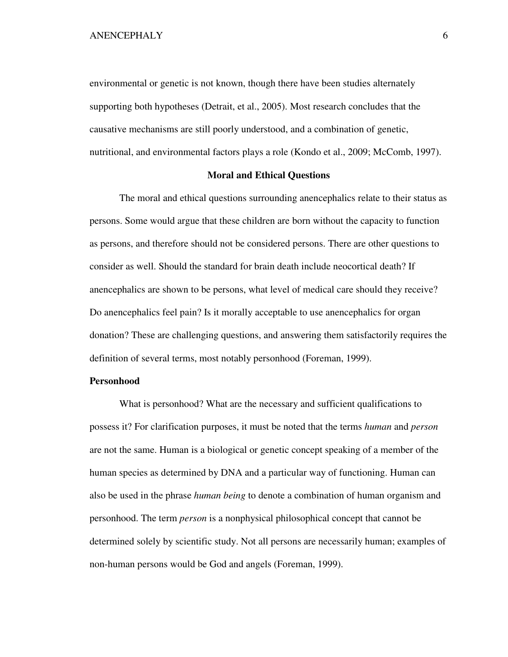environmental or genetic is not known, though there have been studies alternately supporting both hypotheses (Detrait, et al., 2005). Most research concludes that the causative mechanisms are still poorly understood, and a combination of genetic, nutritional, and environmental factors plays a role (Kondo et al., 2009; McComb, 1997).

## **Moral and Ethical Questions**

The moral and ethical questions surrounding anencephalics relate to their status as persons. Some would argue that these children are born without the capacity to function as persons, and therefore should not be considered persons. There are other questions to consider as well. Should the standard for brain death include neocortical death? If anencephalics are shown to be persons, what level of medical care should they receive? Do anencephalics feel pain? Is it morally acceptable to use anencephalics for organ donation? These are challenging questions, and answering them satisfactorily requires the definition of several terms, most notably personhood (Foreman, 1999).

# **Personhood**

What is personhood? What are the necessary and sufficient qualifications to possess it? For clarification purposes, it must be noted that the terms *human* and *person* are not the same. Human is a biological or genetic concept speaking of a member of the human species as determined by DNA and a particular way of functioning. Human can also be used in the phrase *human being* to denote a combination of human organism and personhood. The term *person* is a nonphysical philosophical concept that cannot be determined solely by scientific study. Not all persons are necessarily human; examples of non-human persons would be God and angels (Foreman, 1999).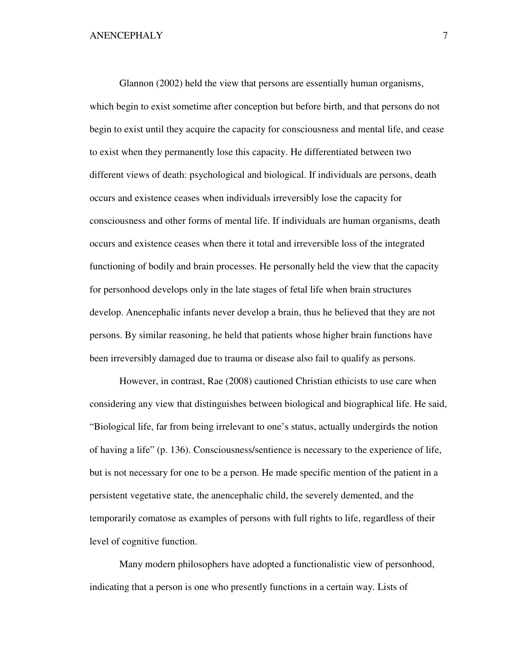Glannon (2002) held the view that persons are essentially human organisms, which begin to exist sometime after conception but before birth, and that persons do not begin to exist until they acquire the capacity for consciousness and mental life, and cease to exist when they permanently lose this capacity. He differentiated between two different views of death: psychological and biological. If individuals are persons, death occurs and existence ceases when individuals irreversibly lose the capacity for consciousness and other forms of mental life. If individuals are human organisms, death occurs and existence ceases when there it total and irreversible loss of the integrated functioning of bodily and brain processes. He personally held the view that the capacity for personhood develops only in the late stages of fetal life when brain structures develop. Anencephalic infants never develop a brain, thus he believed that they are not persons. By similar reasoning, he held that patients whose higher brain functions have been irreversibly damaged due to trauma or disease also fail to qualify as persons.

However, in contrast, Rae (2008) cautioned Christian ethicists to use care when considering any view that distinguishes between biological and biographical life. He said, "Biological life, far from being irrelevant to one's status, actually undergirds the notion of having a life" (p. 136). Consciousness/sentience is necessary to the experience of life, but is not necessary for one to be a person. He made specific mention of the patient in a persistent vegetative state, the anencephalic child, the severely demented, and the temporarily comatose as examples of persons with full rights to life, regardless of their level of cognitive function.

Many modern philosophers have adopted a functionalistic view of personhood, indicating that a person is one who presently functions in a certain way. Lists of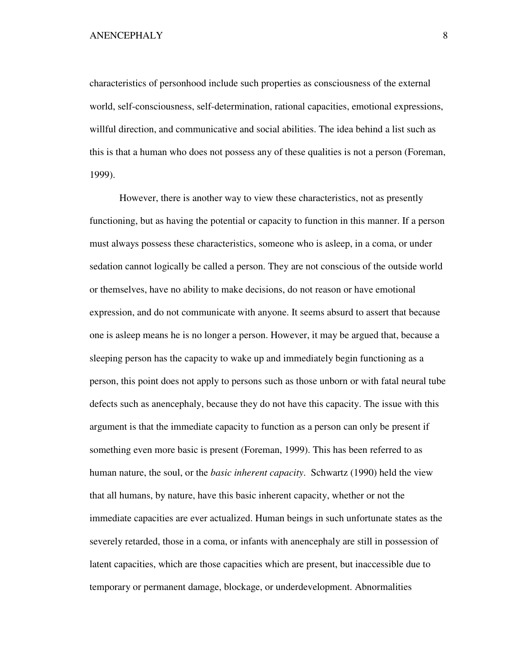characteristics of personhood include such properties as consciousness of the external world, self-consciousness, self-determination, rational capacities, emotional expressions, willful direction, and communicative and social abilities. The idea behind a list such as this is that a human who does not possess any of these qualities is not a person (Foreman, 1999).

However, there is another way to view these characteristics, not as presently functioning, but as having the potential or capacity to function in this manner. If a person must always possess these characteristics, someone who is asleep, in a coma, or under sedation cannot logically be called a person. They are not conscious of the outside world or themselves, have no ability to make decisions, do not reason or have emotional expression, and do not communicate with anyone. It seems absurd to assert that because one is asleep means he is no longer a person. However, it may be argued that, because a sleeping person has the capacity to wake up and immediately begin functioning as a person, this point does not apply to persons such as those unborn or with fatal neural tube defects such as anencephaly, because they do not have this capacity. The issue with this argument is that the immediate capacity to function as a person can only be present if something even more basic is present (Foreman, 1999). This has been referred to as human nature, the soul, or the *basic inherent capacity*. Schwartz (1990) held the view that all humans, by nature, have this basic inherent capacity, whether or not the immediate capacities are ever actualized. Human beings in such unfortunate states as the severely retarded, those in a coma, or infants with anencephaly are still in possession of latent capacities, which are those capacities which are present, but inaccessible due to temporary or permanent damage, blockage, or underdevelopment. Abnormalities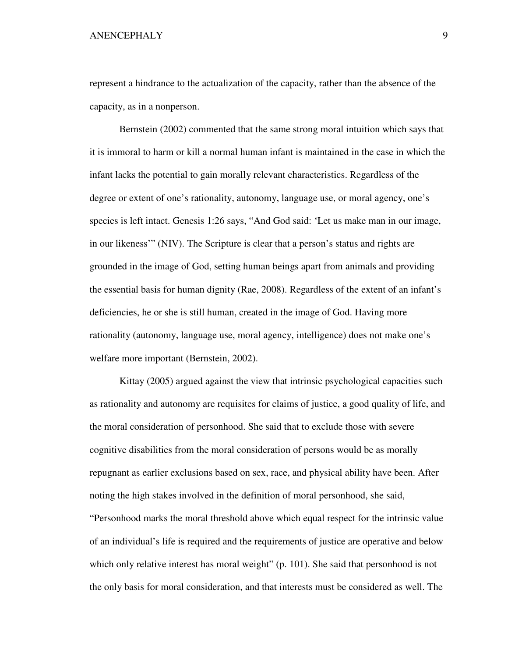represent a hindrance to the actualization of the capacity, rather than the absence of the capacity, as in a nonperson.

Bernstein (2002) commented that the same strong moral intuition which says that it is immoral to harm or kill a normal human infant is maintained in the case in which the infant lacks the potential to gain morally relevant characteristics. Regardless of the degree or extent of one's rationality, autonomy, language use, or moral agency, one's species is left intact. Genesis 1:26 says, "And God said: 'Let us make man in our image, in our likeness'" (NIV). The Scripture is clear that a person's status and rights are grounded in the image of God, setting human beings apart from animals and providing the essential basis for human dignity (Rae, 2008). Regardless of the extent of an infant's deficiencies, he or she is still human, created in the image of God. Having more rationality (autonomy, language use, moral agency, intelligence) does not make one's welfare more important (Bernstein, 2002).

Kittay (2005) argued against the view that intrinsic psychological capacities such as rationality and autonomy are requisites for claims of justice, a good quality of life, and the moral consideration of personhood. She said that to exclude those with severe cognitive disabilities from the moral consideration of persons would be as morally repugnant as earlier exclusions based on sex, race, and physical ability have been. After noting the high stakes involved in the definition of moral personhood, she said, "Personhood marks the moral threshold above which equal respect for the intrinsic value of an individual's life is required and the requirements of justice are operative and below which only relative interest has moral weight" (p. 101). She said that personhood is not the only basis for moral consideration, and that interests must be considered as well. The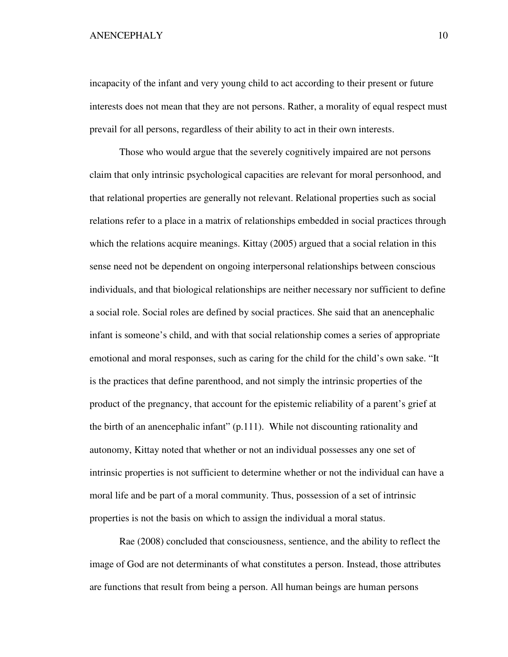incapacity of the infant and very young child to act according to their present or future interests does not mean that they are not persons. Rather, a morality of equal respect must prevail for all persons, regardless of their ability to act in their own interests.

Those who would argue that the severely cognitively impaired are not persons claim that only intrinsic psychological capacities are relevant for moral personhood, and that relational properties are generally not relevant. Relational properties such as social relations refer to a place in a matrix of relationships embedded in social practices through which the relations acquire meanings. Kittay (2005) argued that a social relation in this sense need not be dependent on ongoing interpersonal relationships between conscious individuals, and that biological relationships are neither necessary nor sufficient to define a social role. Social roles are defined by social practices. She said that an anencephalic infant is someone's child, and with that social relationship comes a series of appropriate emotional and moral responses, such as caring for the child for the child's own sake. "It is the practices that define parenthood, and not simply the intrinsic properties of the product of the pregnancy, that account for the epistemic reliability of a parent's grief at the birth of an anencephalic infant"  $(p.111)$ . While not discounting rationality and autonomy, Kittay noted that whether or not an individual possesses any one set of intrinsic properties is not sufficient to determine whether or not the individual can have a moral life and be part of a moral community. Thus, possession of a set of intrinsic properties is not the basis on which to assign the individual a moral status.

Rae (2008) concluded that consciousness, sentience, and the ability to reflect the image of God are not determinants of what constitutes a person. Instead, those attributes are functions that result from being a person. All human beings are human persons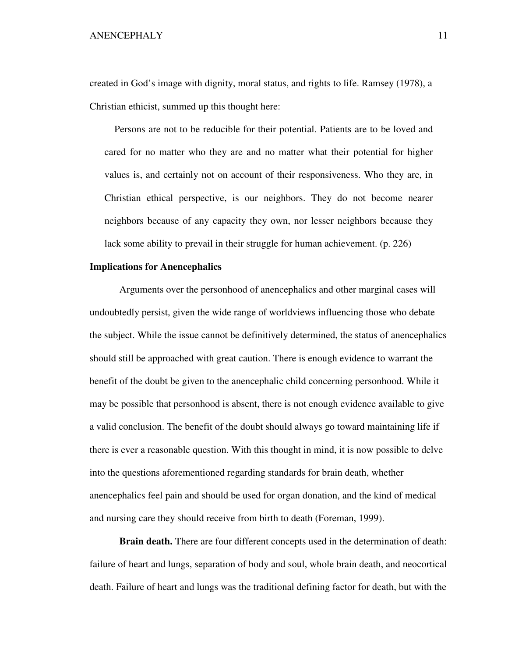created in God's image with dignity, moral status, and rights to life. Ramsey (1978), a Christian ethicist, summed up this thought here:

 Persons are not to be reducible for their potential. Patients are to be loved and cared for no matter who they are and no matter what their potential for higher values is, and certainly not on account of their responsiveness. Who they are, in Christian ethical perspective, is our neighbors. They do not become nearer neighbors because of any capacity they own, nor lesser neighbors because they lack some ability to prevail in their struggle for human achievement. (p. 226)

## **Implications for Anencephalics**

Arguments over the personhood of anencephalics and other marginal cases will undoubtedly persist, given the wide range of worldviews influencing those who debate the subject. While the issue cannot be definitively determined, the status of anencephalics should still be approached with great caution. There is enough evidence to warrant the benefit of the doubt be given to the anencephalic child concerning personhood. While it may be possible that personhood is absent, there is not enough evidence available to give a valid conclusion. The benefit of the doubt should always go toward maintaining life if there is ever a reasonable question. With this thought in mind, it is now possible to delve into the questions aforementioned regarding standards for brain death, whether anencephalics feel pain and should be used for organ donation, and the kind of medical and nursing care they should receive from birth to death (Foreman, 1999).

**Brain death.** There are four different concepts used in the determination of death: failure of heart and lungs, separation of body and soul, whole brain death, and neocortical death. Failure of heart and lungs was the traditional defining factor for death, but with the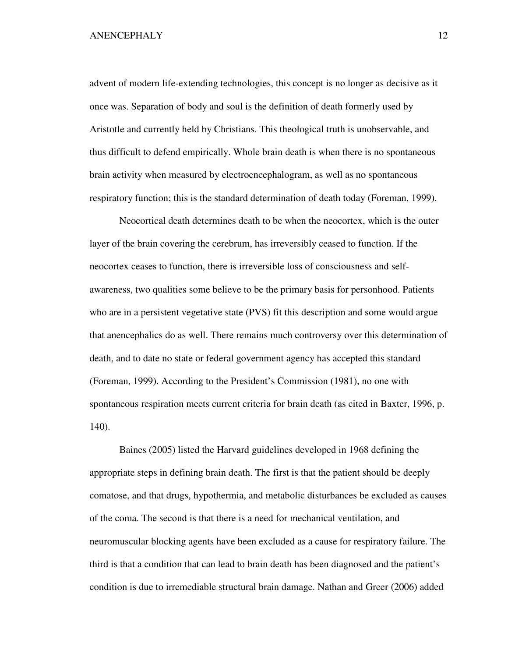advent of modern life-extending technologies, this concept is no longer as decisive as it once was. Separation of body and soul is the definition of death formerly used by Aristotle and currently held by Christians. This theological truth is unobservable, and thus difficult to defend empirically. Whole brain death is when there is no spontaneous brain activity when measured by electroencephalogram, as well as no spontaneous respiratory function; this is the standard determination of death today (Foreman, 1999).

 Neocortical death determines death to be when the neocortex, which is the outer layer of the brain covering the cerebrum, has irreversibly ceased to function. If the neocortex ceases to function, there is irreversible loss of consciousness and selfawareness, two qualities some believe to be the primary basis for personhood. Patients who are in a persistent vegetative state (PVS) fit this description and some would argue that anencephalics do as well. There remains much controversy over this determination of death, and to date no state or federal government agency has accepted this standard (Foreman, 1999). According to the President's Commission (1981), no one with spontaneous respiration meets current criteria for brain death (as cited in Baxter, 1996, p. 140).

 Baines (2005) listed the Harvard guidelines developed in 1968 defining the appropriate steps in defining brain death. The first is that the patient should be deeply comatose, and that drugs, hypothermia, and metabolic disturbances be excluded as causes of the coma. The second is that there is a need for mechanical ventilation, and neuromuscular blocking agents have been excluded as a cause for respiratory failure. The third is that a condition that can lead to brain death has been diagnosed and the patient's condition is due to irremediable structural brain damage. Nathan and Greer (2006) added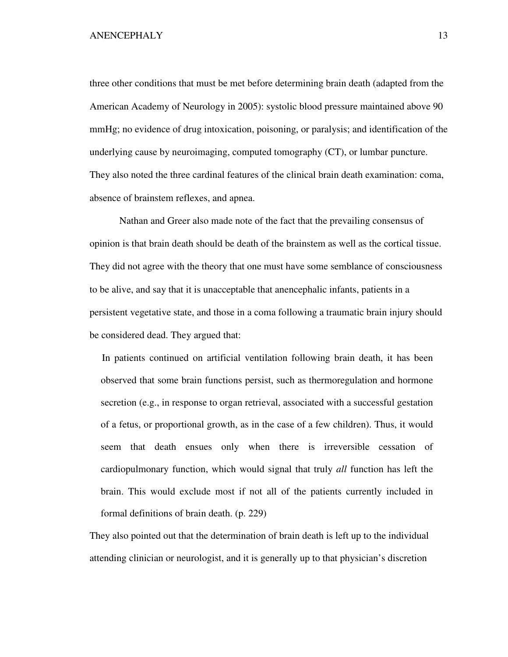three other conditions that must be met before determining brain death (adapted from the American Academy of Neurology in 2005): systolic blood pressure maintained above 90 mmHg; no evidence of drug intoxication, poisoning, or paralysis; and identification of the underlying cause by neuroimaging, computed tomography (CT), or lumbar puncture. They also noted the three cardinal features of the clinical brain death examination: coma, absence of brainstem reflexes, and apnea.

 Nathan and Greer also made note of the fact that the prevailing consensus of opinion is that brain death should be death of the brainstem as well as the cortical tissue. They did not agree with the theory that one must have some semblance of consciousness to be alive, and say that it is unacceptable that anencephalic infants, patients in a persistent vegetative state, and those in a coma following a traumatic brain injury should be considered dead. They argued that:

 In patients continued on artificial ventilation following brain death, it has been observed that some brain functions persist, such as thermoregulation and hormone secretion (e.g., in response to organ retrieval, associated with a successful gestation of a fetus, or proportional growth, as in the case of a few children). Thus, it would seem that death ensues only when there is irreversible cessation of cardiopulmonary function, which would signal that truly *all* function has left the brain. This would exclude most if not all of the patients currently included in formal definitions of brain death. (p. 229)

They also pointed out that the determination of brain death is left up to the individual attending clinician or neurologist, and it is generally up to that physician's discretion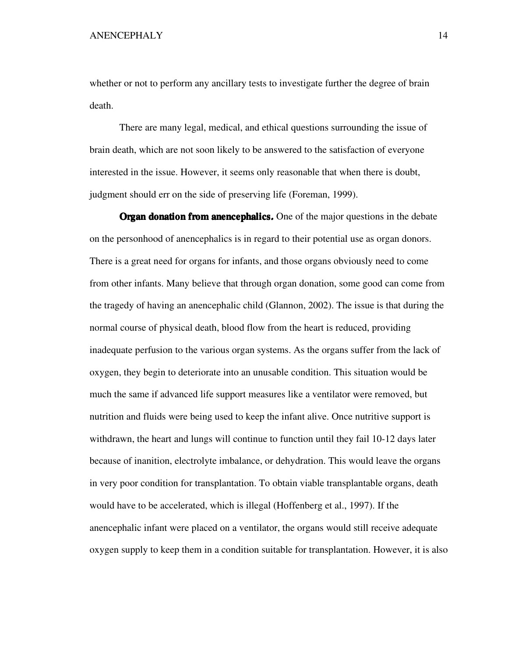whether or not to perform any ancillary tests to investigate further the degree of brain death.

 There are many legal, medical, and ethical questions surrounding the issue of brain death, which are not soon likely to be answered to the satisfaction of everyone interested in the issue. However, it seems only reasonable that when there is doubt, judgment should err on the side of preserving life (Foreman, 1999).

**Organ donation from anencephalics.** One of the major questions in the debate on the personhood of anencephalics is in regard to their potential use as organ donors. There is a great need for organs for infants, and those organs obviously need to come from other infants. Many believe that through organ donation, some good can come from the tragedy of having an anencephalic child (Glannon, 2002). The issue is that during the normal course of physical death, blood flow from the heart is reduced, providing inadequate perfusion to the various organ systems. As the organs suffer from the lack of oxygen, they begin to deteriorate into an unusable condition. This situation would be much the same if advanced life support measures like a ventilator were removed, but nutrition and fluids were being used to keep the infant alive. Once nutritive support is withdrawn, the heart and lungs will continue to function until they fail 10-12 days later because of inanition, electrolyte imbalance, or dehydration. This would leave the organs in very poor condition for transplantation. To obtain viable transplantable organs, death would have to be accelerated, which is illegal (Hoffenberg et al., 1997). If the anencephalic infant were placed on a ventilator, the organs would still receive adequate oxygen supply to keep them in a condition suitable for transplantation. However, it is also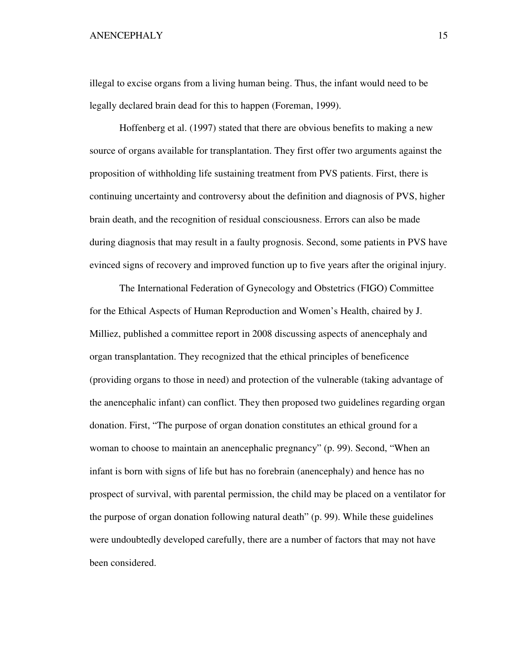illegal to excise organs from a living human being. Thus, the infant would need to be legally declared brain dead for this to happen (Foreman, 1999).

 Hoffenberg et al. (1997) stated that there are obvious benefits to making a new source of organs available for transplantation. They first offer two arguments against the proposition of withholding life sustaining treatment from PVS patients. First, there is continuing uncertainty and controversy about the definition and diagnosis of PVS, higher brain death, and the recognition of residual consciousness. Errors can also be made during diagnosis that may result in a faulty prognosis. Second, some patients in PVS have evinced signs of recovery and improved function up to five years after the original injury.

 The International Federation of Gynecology and Obstetrics (FIGO) Committee for the Ethical Aspects of Human Reproduction and Women's Health, chaired by J. Milliez, published a committee report in 2008 discussing aspects of anencephaly and organ transplantation. They recognized that the ethical principles of beneficence (providing organs to those in need) and protection of the vulnerable (taking advantage of the anencephalic infant) can conflict. They then proposed two guidelines regarding organ donation. First, "The purpose of organ donation constitutes an ethical ground for a woman to choose to maintain an anencephalic pregnancy" (p. 99). Second, "When an infant is born with signs of life but has no forebrain (anencephaly) and hence has no prospect of survival, with parental permission, the child may be placed on a ventilator for the purpose of organ donation following natural death" (p. 99). While these guidelines were undoubtedly developed carefully, there are a number of factors that may not have been considered.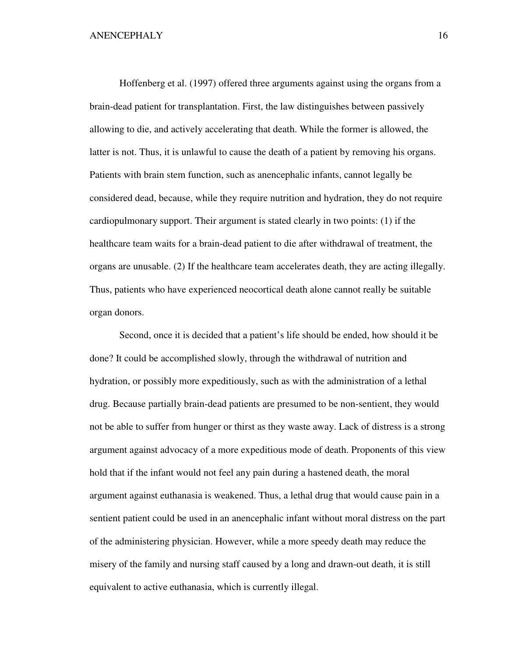Hoffenberg et al. (1997) offered three arguments against using the organs from a brain-dead patient for transplantation. First, the law distinguishes between passively allowing to die, and actively accelerating that death. While the former is allowed, the latter is not. Thus, it is unlawful to cause the death of a patient by removing his organs. Patients with brain stem function, such as anencephalic infants, cannot legally be considered dead, because, while they require nutrition and hydration, they do not require cardiopulmonary support. Their argument is stated clearly in two points: (1) if the healthcare team waits for a brain-dead patient to die after withdrawal of treatment, the organs are unusable. (2) If the healthcare team accelerates death, they are acting illegally. Thus, patients who have experienced neocortical death alone cannot really be suitable organ donors.

 Second, once it is decided that a patient's life should be ended, how should it be done? It could be accomplished slowly, through the withdrawal of nutrition and hydration, or possibly more expeditiously, such as with the administration of a lethal drug. Because partially brain-dead patients are presumed to be non-sentient, they would not be able to suffer from hunger or thirst as they waste away. Lack of distress is a strong argument against advocacy of a more expeditious mode of death. Proponents of this view hold that if the infant would not feel any pain during a hastened death, the moral argument against euthanasia is weakened. Thus, a lethal drug that would cause pain in a sentient patient could be used in an anencephalic infant without moral distress on the part of the administering physician. However, while a more speedy death may reduce the misery of the family and nursing staff caused by a long and drawn-out death, it is still equivalent to active euthanasia, which is currently illegal.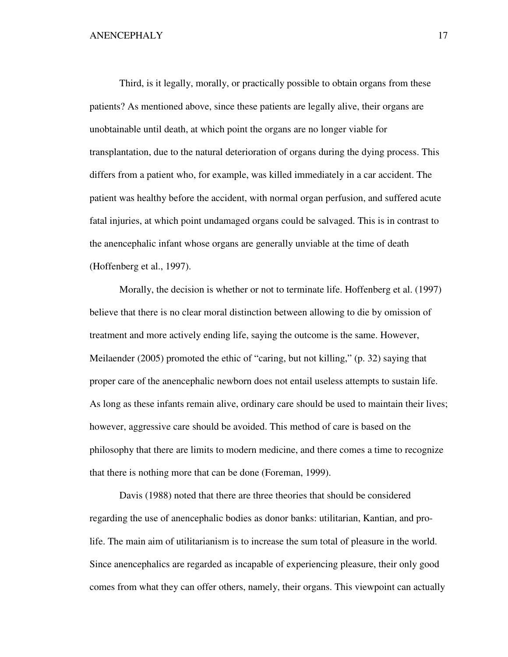Third, is it legally, morally, or practically possible to obtain organs from these patients? As mentioned above, since these patients are legally alive, their organs are unobtainable until death, at which point the organs are no longer viable for transplantation, due to the natural deterioration of organs during the dying process. This differs from a patient who, for example, was killed immediately in a car accident. The patient was healthy before the accident, with normal organ perfusion, and suffered acute fatal injuries, at which point undamaged organs could be salvaged. This is in contrast to the anencephalic infant whose organs are generally unviable at the time of death (Hoffenberg et al., 1997).

 Morally, the decision is whether or not to terminate life. Hoffenberg et al. (1997) believe that there is no clear moral distinction between allowing to die by omission of treatment and more actively ending life, saying the outcome is the same. However, Meilaender (2005) promoted the ethic of "caring, but not killing," (p. 32) saying that proper care of the anencephalic newborn does not entail useless attempts to sustain life. As long as these infants remain alive, ordinary care should be used to maintain their lives; however, aggressive care should be avoided. This method of care is based on the philosophy that there are limits to modern medicine, and there comes a time to recognize that there is nothing more that can be done (Foreman, 1999).

 Davis (1988) noted that there are three theories that should be considered regarding the use of anencephalic bodies as donor banks: utilitarian, Kantian, and prolife. The main aim of utilitarianism is to increase the sum total of pleasure in the world. Since anencephalics are regarded as incapable of experiencing pleasure, their only good comes from what they can offer others, namely, their organs. This viewpoint can actually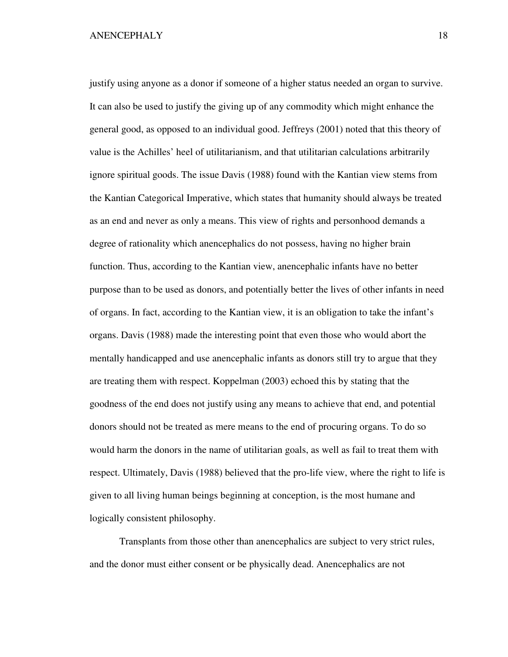justify using anyone as a donor if someone of a higher status needed an organ to survive. It can also be used to justify the giving up of any commodity which might enhance the general good, as opposed to an individual good. Jeffreys (2001) noted that this theory of value is the Achilles' heel of utilitarianism, and that utilitarian calculations arbitrarily ignore spiritual goods. The issue Davis (1988) found with the Kantian view stems from the Kantian Categorical Imperative, which states that humanity should always be treated as an end and never as only a means. This view of rights and personhood demands a degree of rationality which anencephalics do not possess, having no higher brain function. Thus, according to the Kantian view, anencephalic infants have no better purpose than to be used as donors, and potentially better the lives of other infants in need of organs. In fact, according to the Kantian view, it is an obligation to take the infant's organs. Davis (1988) made the interesting point that even those who would abort the mentally handicapped and use anencephalic infants as donors still try to argue that they are treating them with respect. Koppelman (2003) echoed this by stating that the goodness of the end does not justify using any means to achieve that end, and potential donors should not be treated as mere means to the end of procuring organs. To do so would harm the donors in the name of utilitarian goals, as well as fail to treat them with respect. Ultimately, Davis (1988) believed that the pro-life view, where the right to life is given to all living human beings beginning at conception, is the most humane and logically consistent philosophy.

 Transplants from those other than anencephalics are subject to very strict rules, and the donor must either consent or be physically dead. Anencephalics are not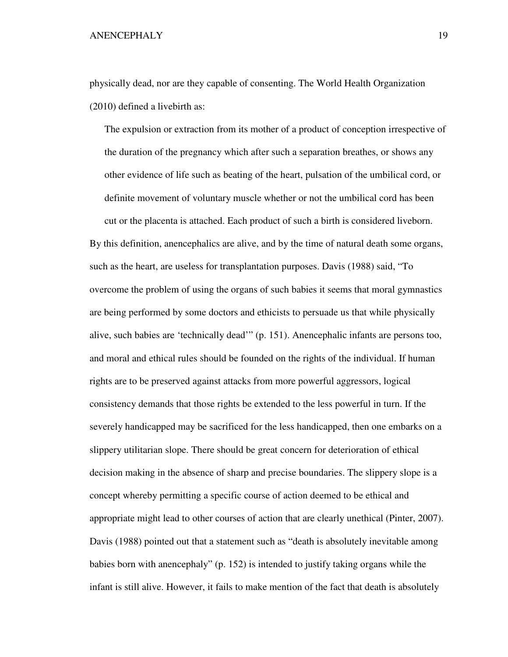physically dead, nor are they capable of consenting. The World Health Organization (2010) defined a livebirth as:

 The expulsion or extraction from its mother of a product of conception irrespective of the duration of the pregnancy which after such a separation breathes, or shows any other evidence of life such as beating of the heart, pulsation of the umbilical cord, or definite movement of voluntary muscle whether or not the umbilical cord has been

cut or the placenta is attached. Each product of such a birth is considered liveborn. By this definition, anencephalics are alive, and by the time of natural death some organs, such as the heart, are useless for transplantation purposes. Davis (1988) said, "To overcome the problem of using the organs of such babies it seems that moral gymnastics are being performed by some doctors and ethicists to persuade us that while physically alive, such babies are 'technically dead'" (p. 151). Anencephalic infants are persons too, and moral and ethical rules should be founded on the rights of the individual. If human rights are to be preserved against attacks from more powerful aggressors, logical consistency demands that those rights be extended to the less powerful in turn. If the severely handicapped may be sacrificed for the less handicapped, then one embarks on a slippery utilitarian slope. There should be great concern for deterioration of ethical decision making in the absence of sharp and precise boundaries. The slippery slope is a concept whereby permitting a specific course of action deemed to be ethical and appropriate might lead to other courses of action that are clearly unethical (Pinter, 2007). Davis (1988) pointed out that a statement such as "death is absolutely inevitable among babies born with anencephaly" (p. 152) is intended to justify taking organs while the infant is still alive. However, it fails to make mention of the fact that death is absolutely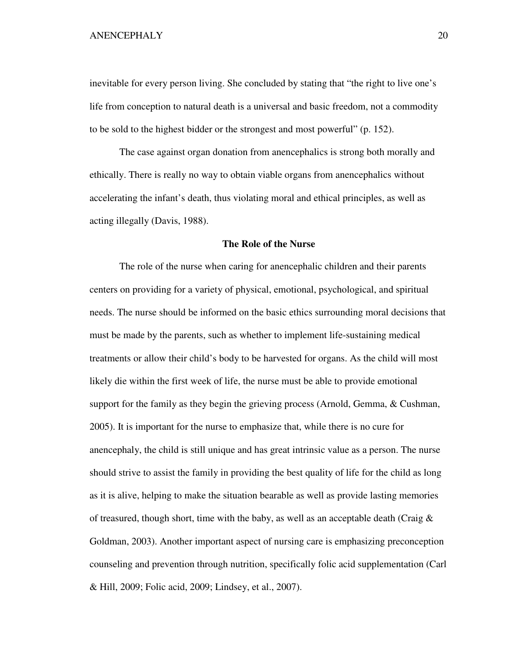inevitable for every person living. She concluded by stating that "the right to live one's life from conception to natural death is a universal and basic freedom, not a commodity to be sold to the highest bidder or the strongest and most powerful" (p. 152).

 The case against organ donation from anencephalics is strong both morally and ethically. There is really no way to obtain viable organs from anencephalics without accelerating the infant's death, thus violating moral and ethical principles, as well as acting illegally (Davis, 1988).

## **The Role of the Nurse**

The role of the nurse when caring for anencephalic children and their parents centers on providing for a variety of physical, emotional, psychological, and spiritual needs. The nurse should be informed on the basic ethics surrounding moral decisions that must be made by the parents, such as whether to implement life-sustaining medical treatments or allow their child's body to be harvested for organs. As the child will most likely die within the first week of life, the nurse must be able to provide emotional support for the family as they begin the grieving process (Arnold, Gemma, & Cushman, 2005). It is important for the nurse to emphasize that, while there is no cure for anencephaly, the child is still unique and has great intrinsic value as a person. The nurse should strive to assist the family in providing the best quality of life for the child as long as it is alive, helping to make the situation bearable as well as provide lasting memories of treasured, though short, time with the baby, as well as an acceptable death (Craig  $\&$ Goldman, 2003). Another important aspect of nursing care is emphasizing preconception counseling and prevention through nutrition, specifically folic acid supplementation (Carl & Hill, 2009; Folic acid, 2009; Lindsey, et al., 2007).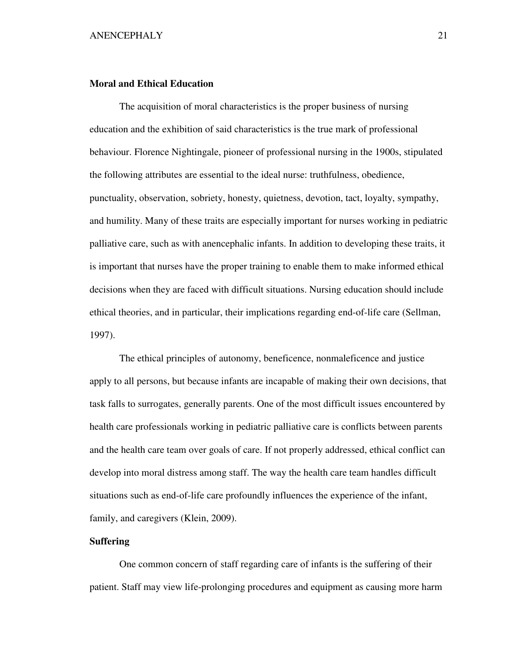## **Moral and Ethical Education**

The acquisition of moral characteristics is the proper business of nursing education and the exhibition of said characteristics is the true mark of professional behaviour. Florence Nightingale, pioneer of professional nursing in the 1900s, stipulated the following attributes are essential to the ideal nurse: truthfulness, obedience, punctuality, observation, sobriety, honesty, quietness, devotion, tact, loyalty, sympathy, and humility. Many of these traits are especially important for nurses working in pediatric palliative care, such as with anencephalic infants. In addition to developing these traits, it is important that nurses have the proper training to enable them to make informed ethical decisions when they are faced with difficult situations. Nursing education should include ethical theories, and in particular, their implications regarding end-of-life care (Sellman, 1997).

The ethical principles of autonomy, beneficence, nonmaleficence and justice apply to all persons, but because infants are incapable of making their own decisions, that task falls to surrogates, generally parents. One of the most difficult issues encountered by health care professionals working in pediatric palliative care is conflicts between parents and the health care team over goals of care. If not properly addressed, ethical conflict can develop into moral distress among staff. The way the health care team handles difficult situations such as end-of-life care profoundly influences the experience of the infant, family, and caregivers (Klein, 2009).

# **Suffering**

One common concern of staff regarding care of infants is the suffering of their patient. Staff may view life-prolonging procedures and equipment as causing more harm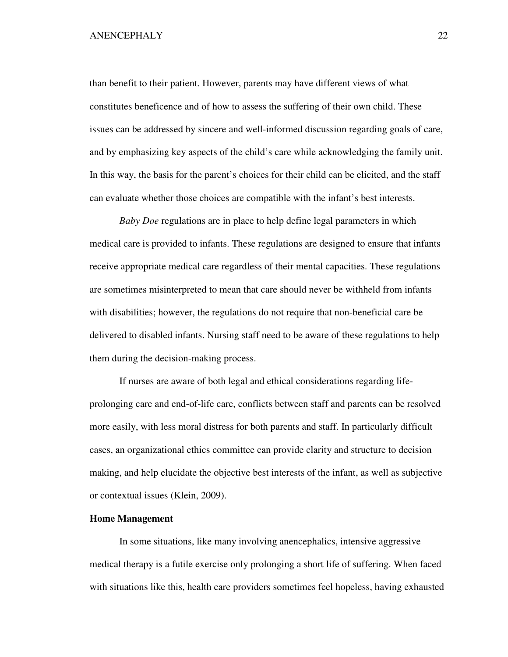than benefit to their patient. However, parents may have different views of what constitutes beneficence and of how to assess the suffering of their own child. These issues can be addressed by sincere and well-informed discussion regarding goals of care, and by emphasizing key aspects of the child's care while acknowledging the family unit. In this way, the basis for the parent's choices for their child can be elicited, and the staff can evaluate whether those choices are compatible with the infant's best interests.

*Baby Doe* regulations are in place to help define legal parameters in which medical care is provided to infants. These regulations are designed to ensure that infants receive appropriate medical care regardless of their mental capacities. These regulations are sometimes misinterpreted to mean that care should never be withheld from infants with disabilities; however, the regulations do not require that non-beneficial care be delivered to disabled infants. Nursing staff need to be aware of these regulations to help them during the decision-making process.

If nurses are aware of both legal and ethical considerations regarding lifeprolonging care and end-of-life care, conflicts between staff and parents can be resolved more easily, with less moral distress for both parents and staff. In particularly difficult cases, an organizational ethics committee can provide clarity and structure to decision making, and help elucidate the objective best interests of the infant, as well as subjective or contextual issues (Klein, 2009).

# **Home Management**

In some situations, like many involving anencephalics, intensive aggressive medical therapy is a futile exercise only prolonging a short life of suffering. When faced with situations like this, health care providers sometimes feel hopeless, having exhausted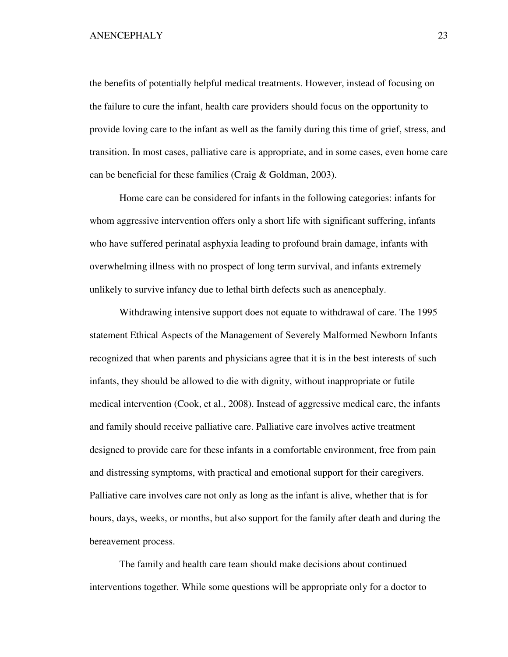the benefits of potentially helpful medical treatments. However, instead of focusing on the failure to cure the infant, health care providers should focus on the opportunity to provide loving care to the infant as well as the family during this time of grief, stress, and transition. In most cases, palliative care is appropriate, and in some cases, even home care can be beneficial for these families (Craig & Goldman, 2003).

Home care can be considered for infants in the following categories: infants for whom aggressive intervention offers only a short life with significant suffering, infants who have suffered perinatal asphyxia leading to profound brain damage, infants with overwhelming illness with no prospect of long term survival, and infants extremely unlikely to survive infancy due to lethal birth defects such as anencephaly.

Withdrawing intensive support does not equate to withdrawal of care. The 1995 statement Ethical Aspects of the Management of Severely Malformed Newborn Infants recognized that when parents and physicians agree that it is in the best interests of such infants, they should be allowed to die with dignity, without inappropriate or futile medical intervention (Cook, et al., 2008). Instead of aggressive medical care, the infants and family should receive palliative care. Palliative care involves active treatment designed to provide care for these infants in a comfortable environment, free from pain and distressing symptoms, with practical and emotional support for their caregivers. Palliative care involves care not only as long as the infant is alive, whether that is for hours, days, weeks, or months, but also support for the family after death and during the bereavement process.

The family and health care team should make decisions about continued interventions together. While some questions will be appropriate only for a doctor to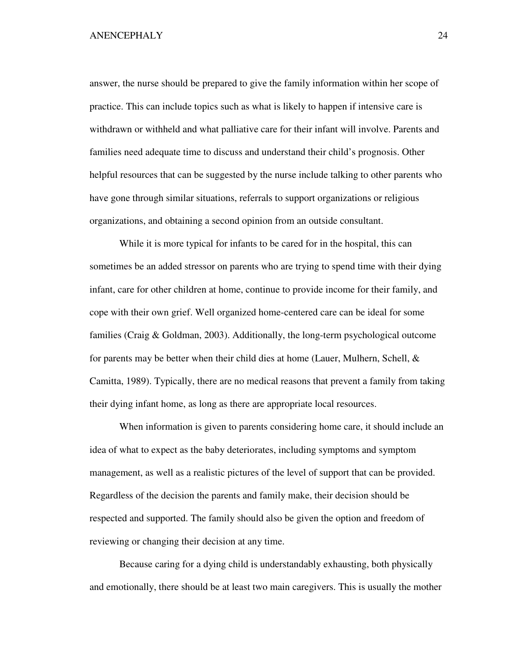answer, the nurse should be prepared to give the family information within her scope of practice. This can include topics such as what is likely to happen if intensive care is withdrawn or withheld and what palliative care for their infant will involve. Parents and families need adequate time to discuss and understand their child's prognosis. Other helpful resources that can be suggested by the nurse include talking to other parents who have gone through similar situations, referrals to support organizations or religious organizations, and obtaining a second opinion from an outside consultant.

While it is more typical for infants to be cared for in the hospital, this can sometimes be an added stressor on parents who are trying to spend time with their dying infant, care for other children at home, continue to provide income for their family, and cope with their own grief. Well organized home-centered care can be ideal for some families (Craig & Goldman, 2003). Additionally, the long-term psychological outcome for parents may be better when their child dies at home (Lauer, Mulhern, Schell,  $\&$ Camitta, 1989). Typically, there are no medical reasons that prevent a family from taking their dying infant home, as long as there are appropriate local resources.

When information is given to parents considering home care, it should include an idea of what to expect as the baby deteriorates, including symptoms and symptom management, as well as a realistic pictures of the level of support that can be provided. Regardless of the decision the parents and family make, their decision should be respected and supported. The family should also be given the option and freedom of reviewing or changing their decision at any time.

 Because caring for a dying child is understandably exhausting, both physically and emotionally, there should be at least two main caregivers. This is usually the mother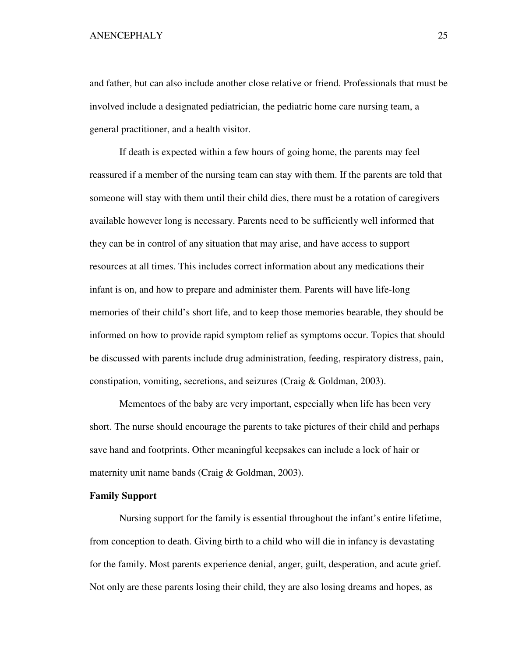and father, but can also include another close relative or friend. Professionals that must be involved include a designated pediatrician, the pediatric home care nursing team, a general practitioner, and a health visitor.

 If death is expected within a few hours of going home, the parents may feel reassured if a member of the nursing team can stay with them. If the parents are told that someone will stay with them until their child dies, there must be a rotation of caregivers available however long is necessary. Parents need to be sufficiently well informed that they can be in control of any situation that may arise, and have access to support resources at all times. This includes correct information about any medications their infant is on, and how to prepare and administer them. Parents will have life-long memories of their child's short life, and to keep those memories bearable, they should be informed on how to provide rapid symptom relief as symptoms occur. Topics that should be discussed with parents include drug administration, feeding, respiratory distress, pain, constipation, vomiting, secretions, and seizures (Craig & Goldman, 2003).

 Mementoes of the baby are very important, especially when life has been very short. The nurse should encourage the parents to take pictures of their child and perhaps save hand and footprints. Other meaningful keepsakes can include a lock of hair or maternity unit name bands (Craig & Goldman, 2003).

## **Family Support**

 Nursing support for the family is essential throughout the infant's entire lifetime, from conception to death. Giving birth to a child who will die in infancy is devastating for the family. Most parents experience denial, anger, guilt, desperation, and acute grief. Not only are these parents losing their child, they are also losing dreams and hopes, as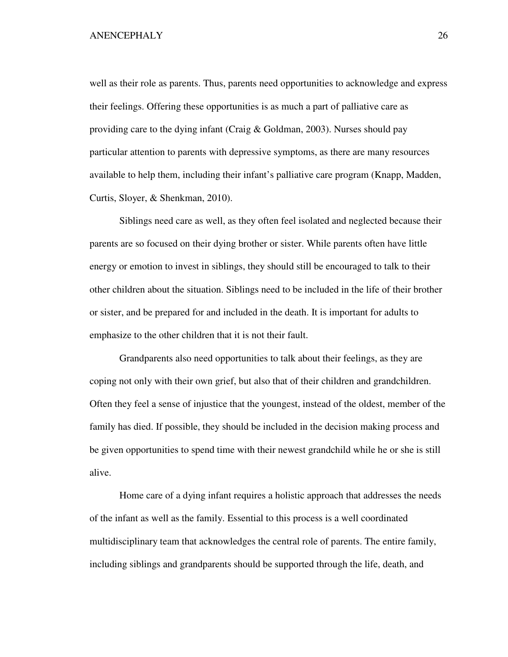well as their role as parents. Thus, parents need opportunities to acknowledge and express their feelings. Offering these opportunities is as much a part of palliative care as providing care to the dying infant (Craig & Goldman, 2003). Nurses should pay particular attention to parents with depressive symptoms, as there are many resources available to help them, including their infant's palliative care program (Knapp, Madden, Curtis, Sloyer, & Shenkman, 2010).

 Siblings need care as well, as they often feel isolated and neglected because their parents are so focused on their dying brother or sister. While parents often have little energy or emotion to invest in siblings, they should still be encouraged to talk to their other children about the situation. Siblings need to be included in the life of their brother or sister, and be prepared for and included in the death. It is important for adults to emphasize to the other children that it is not their fault.

 Grandparents also need opportunities to talk about their feelings, as they are coping not only with their own grief, but also that of their children and grandchildren. Often they feel a sense of injustice that the youngest, instead of the oldest, member of the family has died. If possible, they should be included in the decision making process and be given opportunities to spend time with their newest grandchild while he or she is still alive.

 Home care of a dying infant requires a holistic approach that addresses the needs of the infant as well as the family. Essential to this process is a well coordinated multidisciplinary team that acknowledges the central role of parents. The entire family, including siblings and grandparents should be supported through the life, death, and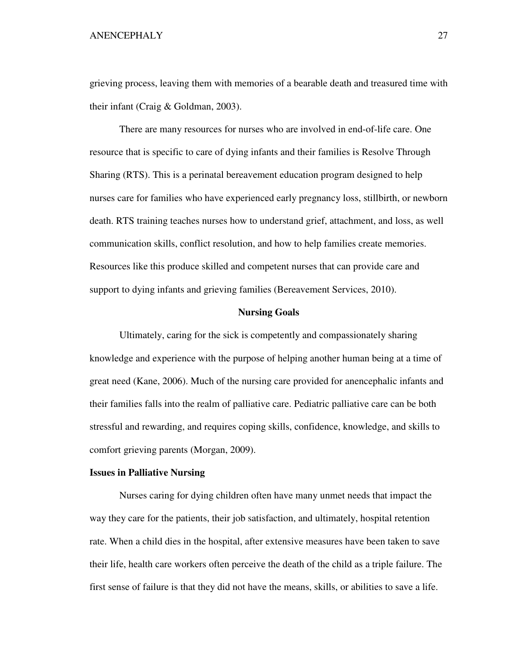grieving process, leaving them with memories of a bearable death and treasured time with their infant (Craig & Goldman, 2003).

 There are many resources for nurses who are involved in end-of-life care. One resource that is specific to care of dying infants and their families is Resolve Through Sharing (RTS). This is a perinatal bereavement education program designed to help nurses care for families who have experienced early pregnancy loss, stillbirth, or newborn death. RTS training teaches nurses how to understand grief, attachment, and loss, as well communication skills, conflict resolution, and how to help families create memories. Resources like this produce skilled and competent nurses that can provide care and support to dying infants and grieving families (Bereavement Services, 2010).

## **Nursing Goals**

 Ultimately, caring for the sick is competently and compassionately sharing knowledge and experience with the purpose of helping another human being at a time of great need (Kane, 2006). Much of the nursing care provided for anencephalic infants and their families falls into the realm of palliative care. Pediatric palliative care can be both stressful and rewarding, and requires coping skills, confidence, knowledge, and skills to comfort grieving parents (Morgan, 2009).

## **Issues in Palliative Nursing**

 Nurses caring for dying children often have many unmet needs that impact the way they care for the patients, their job satisfaction, and ultimately, hospital retention rate. When a child dies in the hospital, after extensive measures have been taken to save their life, health care workers often perceive the death of the child as a triple failure. The first sense of failure is that they did not have the means, skills, or abilities to save a life.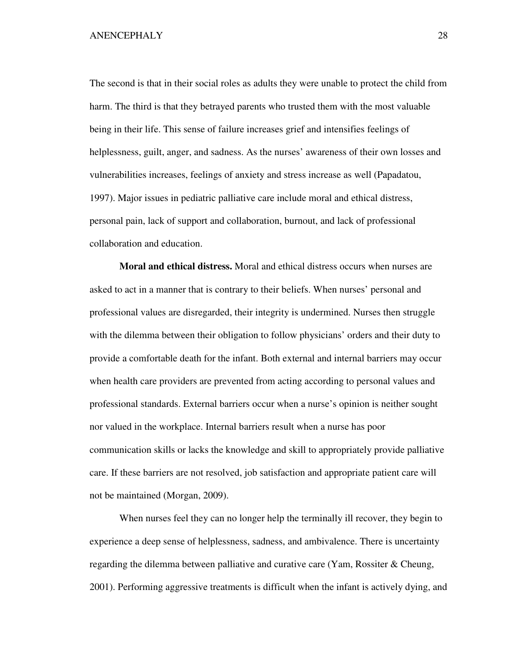The second is that in their social roles as adults they were unable to protect the child from harm. The third is that they betrayed parents who trusted them with the most valuable being in their life. This sense of failure increases grief and intensifies feelings of helplessness, guilt, anger, and sadness. As the nurses' awareness of their own losses and vulnerabilities increases, feelings of anxiety and stress increase as well (Papadatou, 1997). Major issues in pediatric palliative care include moral and ethical distress, personal pain, lack of support and collaboration, burnout, and lack of professional collaboration and education.

**Moral and ethical distress.** Moral and ethical distress occurs when nurses are asked to act in a manner that is contrary to their beliefs. When nurses' personal and professional values are disregarded, their integrity is undermined. Nurses then struggle with the dilemma between their obligation to follow physicians' orders and their duty to provide a comfortable death for the infant. Both external and internal barriers may occur when health care providers are prevented from acting according to personal values and professional standards. External barriers occur when a nurse's opinion is neither sought nor valued in the workplace. Internal barriers result when a nurse has poor communication skills or lacks the knowledge and skill to appropriately provide palliative care. If these barriers are not resolved, job satisfaction and appropriate patient care will not be maintained (Morgan, 2009).

When nurses feel they can no longer help the terminally ill recover, they begin to experience a deep sense of helplessness, sadness, and ambivalence. There is uncertainty regarding the dilemma between palliative and curative care (Yam, Rossiter & Cheung, 2001). Performing aggressive treatments is difficult when the infant is actively dying, and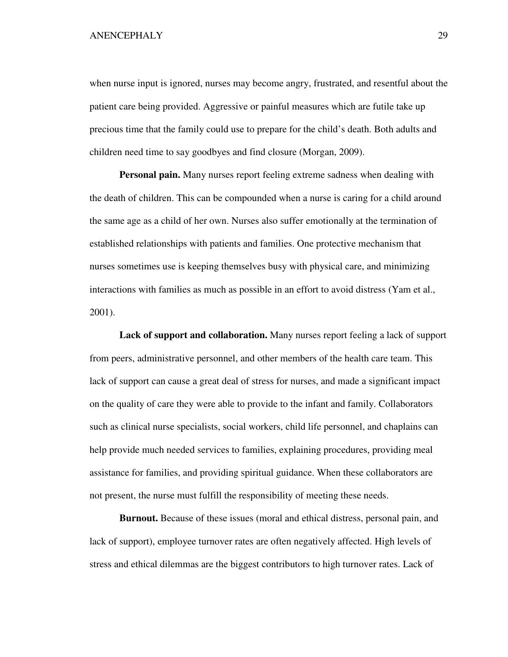when nurse input is ignored, nurses may become angry, frustrated, and resentful about the patient care being provided. Aggressive or painful measures which are futile take up precious time that the family could use to prepare for the child's death. Both adults and children need time to say goodbyes and find closure (Morgan, 2009).

**Personal pain.** Many nurses report feeling extreme sadness when dealing with the death of children. This can be compounded when a nurse is caring for a child around the same age as a child of her own. Nurses also suffer emotionally at the termination of established relationships with patients and families. One protective mechanism that nurses sometimes use is keeping themselves busy with physical care, and minimizing interactions with families as much as possible in an effort to avoid distress (Yam et al., 2001).

**Lack of support and collaboration.** Many nurses report feeling a lack of support from peers, administrative personnel, and other members of the health care team. This lack of support can cause a great deal of stress for nurses, and made a significant impact on the quality of care they were able to provide to the infant and family. Collaborators such as clinical nurse specialists, social workers, child life personnel, and chaplains can help provide much needed services to families, explaining procedures, providing meal assistance for families, and providing spiritual guidance. When these collaborators are not present, the nurse must fulfill the responsibility of meeting these needs.

**Burnout.** Because of these issues (moral and ethical distress, personal pain, and lack of support), employee turnover rates are often negatively affected. High levels of stress and ethical dilemmas are the biggest contributors to high turnover rates. Lack of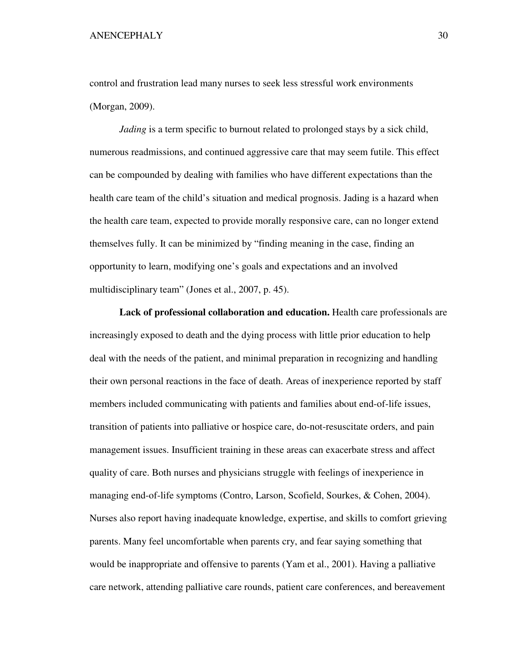control and frustration lead many nurses to seek less stressful work environments (Morgan, 2009).

*Jading* is a term specific to burnout related to prolonged stays by a sick child, numerous readmissions, and continued aggressive care that may seem futile. This effect can be compounded by dealing with families who have different expectations than the health care team of the child's situation and medical prognosis. Jading is a hazard when the health care team, expected to provide morally responsive care, can no longer extend themselves fully. It can be minimized by "finding meaning in the case, finding an opportunity to learn, modifying one's goals and expectations and an involved multidisciplinary team" (Jones et al., 2007, p. 45).

**Lack of professional collaboration and education.** Health care professionals are increasingly exposed to death and the dying process with little prior education to help deal with the needs of the patient, and minimal preparation in recognizing and handling their own personal reactions in the face of death. Areas of inexperience reported by staff members included communicating with patients and families about end-of-life issues, transition of patients into palliative or hospice care, do-not-resuscitate orders, and pain management issues. Insufficient training in these areas can exacerbate stress and affect quality of care. Both nurses and physicians struggle with feelings of inexperience in managing end-of-life symptoms (Contro, Larson, Scofield, Sourkes, & Cohen, 2004). Nurses also report having inadequate knowledge, expertise, and skills to comfort grieving parents. Many feel uncomfortable when parents cry, and fear saying something that would be inappropriate and offensive to parents (Yam et al., 2001). Having a palliative care network, attending palliative care rounds, patient care conferences, and bereavement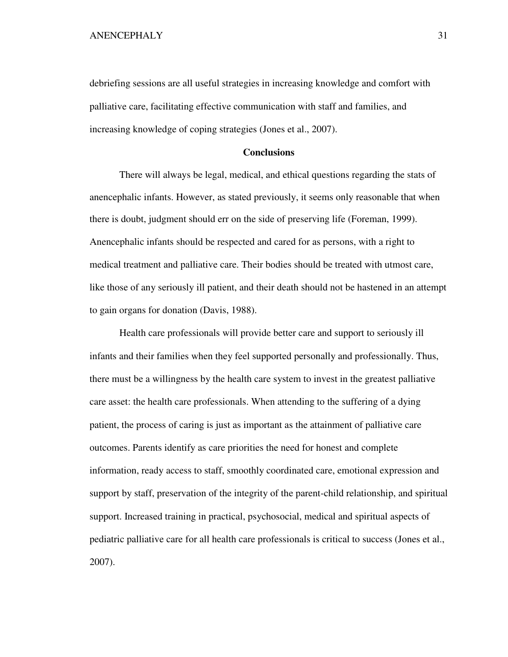debriefing sessions are all useful strategies in increasing knowledge and comfort with palliative care, facilitating effective communication with staff and families, and increasing knowledge of coping strategies (Jones et al., 2007).

# **Conclusions**

There will always be legal, medical, and ethical questions regarding the stats of anencephalic infants. However, as stated previously, it seems only reasonable that when there is doubt, judgment should err on the side of preserving life (Foreman, 1999). Anencephalic infants should be respected and cared for as persons, with a right to medical treatment and palliative care. Their bodies should be treated with utmost care, like those of any seriously ill patient, and their death should not be hastened in an attempt to gain organs for donation (Davis, 1988).

 Health care professionals will provide better care and support to seriously ill infants and their families when they feel supported personally and professionally. Thus, there must be a willingness by the health care system to invest in the greatest palliative care asset: the health care professionals. When attending to the suffering of a dying patient, the process of caring is just as important as the attainment of palliative care outcomes. Parents identify as care priorities the need for honest and complete information, ready access to staff, smoothly coordinated care, emotional expression and support by staff, preservation of the integrity of the parent-child relationship, and spiritual support. Increased training in practical, psychosocial, medical and spiritual aspects of pediatric palliative care for all health care professionals is critical to success (Jones et al., 2007).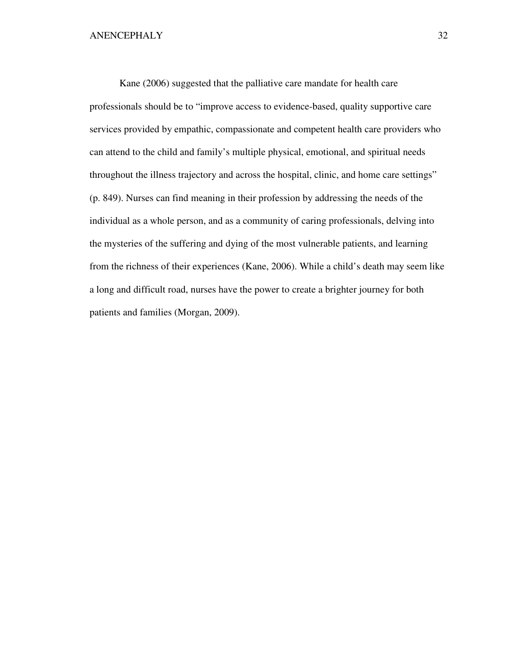Kane (2006) suggested that the palliative care mandate for health care professionals should be to "improve access to evidence-based, quality supportive care services provided by empathic, compassionate and competent health care providers who can attend to the child and family's multiple physical, emotional, and spiritual needs throughout the illness trajectory and across the hospital, clinic, and home care settings" (p. 849). Nurses can find meaning in their profession by addressing the needs of the individual as a whole person, and as a community of caring professionals, delving into the mysteries of the suffering and dying of the most vulnerable patients, and learning from the richness of their experiences (Kane, 2006). While a child's death may seem like a long and difficult road, nurses have the power to create a brighter journey for both patients and families (Morgan, 2009).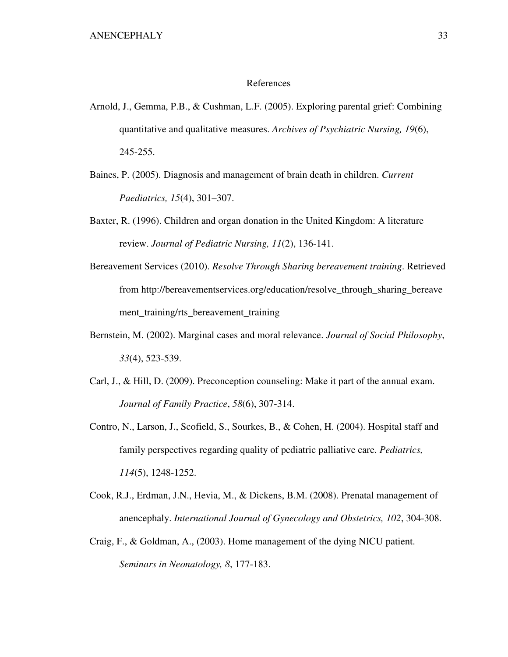#### References

- Arnold, J., Gemma, P.B., & Cushman, L.F. (2005). Exploring parental grief: Combining quantitative and qualitative measures. *Archives of Psychiatric Nursing, 19*(6), 245-255.
- Baines, P. (2005). Diagnosis and management of brain death in children. *Current Paediatrics, 15*(4), 301–307.
- Baxter, R. (1996). Children and organ donation in the United Kingdom: A literature review. *Journal of Pediatric Nursing, 11*(2), 136-141.
- Bereavement Services (2010). *Resolve Through Sharing bereavement training*. Retrieved from http://bereavementservices.org/education/resolve\_through\_sharing\_bereave ment\_training/rts\_bereavement\_training
- Bernstein, M. (2002). Marginal cases and moral relevance. *Journal of Social Philosophy*, *33*(4), 523-539.
- Carl, J., & Hill, D. (2009). Preconception counseling: Make it part of the annual exam. *Journal of Family Practice*, *58*(6), 307-314.
- Contro, N., Larson, J., Scofield, S., Sourkes, B., & Cohen, H. (2004). Hospital staff and family perspectives regarding quality of pediatric palliative care. *Pediatrics, 114*(5), 1248-1252.
- Cook, R.J., Erdman, J.N., Hevia, M., & Dickens, B.M. (2008). Prenatal management of anencephaly. *International Journal of Gynecology and Obstetrics, 102*, 304-308.
- Craig, F., & Goldman, A., (2003). Home management of the dying NICU patient. *Seminars in Neonatology, 8*, 177-183.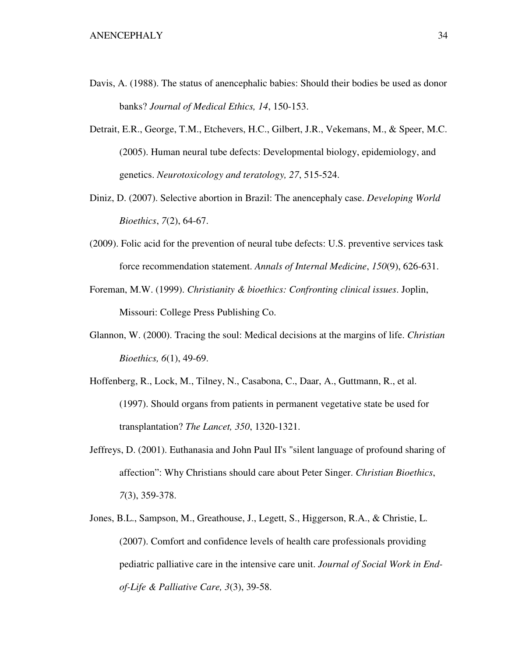- Davis, A. (1988). The status of anencephalic babies: Should their bodies be used as donor banks? *Journal of Medical Ethics, 14*, 150-153.
- Detrait, E.R., George, T.M., Etchevers, H.C., Gilbert, J.R., Vekemans, M., & Speer, M.C. (2005). Human neural tube defects: Developmental biology, epidemiology, and genetics. *Neurotoxicology and teratology, 27*, 515-524.
- Diniz, D. (2007). Selective abortion in Brazil: The anencephaly case. *Developing World Bioethics*, *7*(2), 64-67.
- (2009). Folic acid for the prevention of neural tube defects: U.S. preventive services task force recommendation statement. *Annals of Internal Medicine*, *150*(9), 626-631.
- Foreman, M.W. (1999). *Christianity & bioethics: Confronting clinical issues*. Joplin, Missouri: College Press Publishing Co.
- Glannon, W. (2000). Tracing the soul: Medical decisions at the margins of life. *Christian Bioethics, 6*(1), 49-69.
- Hoffenberg, R., Lock, M., Tilney, N., Casabona, C., Daar, A., Guttmann, R., et al. (1997). Should organs from patients in permanent vegetative state be used for transplantation? *The Lancet, 350*, 1320-1321.
- Jeffreys, D. (2001). Euthanasia and John Paul II's "silent language of profound sharing of affection": Why Christians should care about Peter Singer. *Christian Bioethics*, *7*(3), 359-378.
- Jones, B.L., Sampson, M., Greathouse, J., Legett, S., Higgerson, R.A., & Christie, L. (2007). Comfort and confidence levels of health care professionals providing pediatric palliative care in the intensive care unit. *Journal of Social Work in Endof-Life & Palliative Care, 3*(3), 39-58.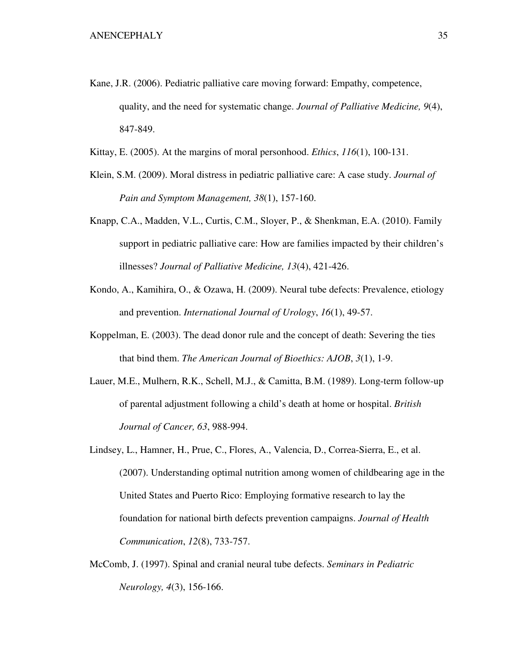- Kane, J.R. (2006). Pediatric palliative care moving forward: Empathy, competence, quality, and the need for systematic change. *Journal of Palliative Medicine, 9*(4), 847-849.
- Kittay, E. (2005). At the margins of moral personhood. *Ethics*, *116*(1), 100-131.
- Klein, S.M. (2009). Moral distress in pediatric palliative care: A case study. *Journal of Pain and Symptom Management, 38*(1), 157-160.
- Knapp, C.A., Madden, V.L., Curtis, C.M., Sloyer, P., & Shenkman, E.A. (2010). Family support in pediatric palliative care: How are families impacted by their children's illnesses? *Journal of Palliative Medicine, 13*(4), 421-426.
- Kondo, A., Kamihira, O., & Ozawa, H. (2009). Neural tube defects: Prevalence, etiology and prevention. *International Journal of Urology*, *16*(1), 49-57.
- Koppelman, E. (2003). The dead donor rule and the concept of death: Severing the ties that bind them. *The American Journal of Bioethics: AJOB*, *3*(1), 1-9.
- Lauer, M.E., Mulhern, R.K., Schell, M.J., & Camitta, B.M. (1989). Long-term follow-up of parental adjustment following a child's death at home or hospital. *British Journal of Cancer, 63*, 988-994.
- Lindsey, L., Hamner, H., Prue, C., Flores, A., Valencia, D., Correa-Sierra, E., et al. (2007). Understanding optimal nutrition among women of childbearing age in the United States and Puerto Rico: Employing formative research to lay the foundation for national birth defects prevention campaigns. *Journal of Health Communication*, *12*(8), 733-757.
- McComb, J. (1997). Spinal and cranial neural tube defects. *Seminars in Pediatric Neurology, 4*(3), 156-166.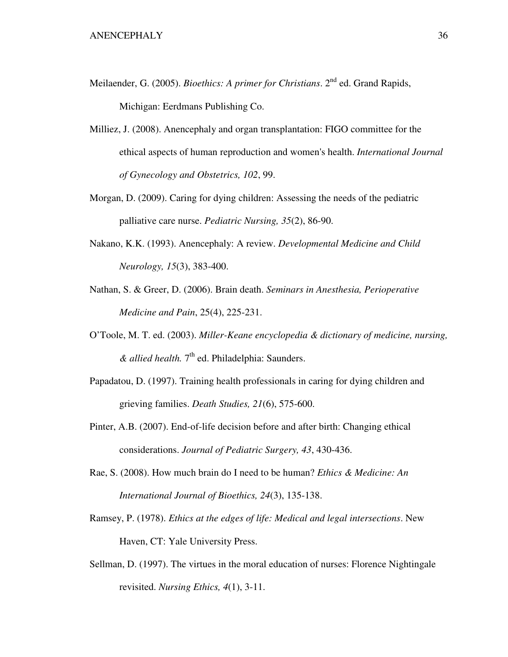- Meilaender, G. (2005). *Bioethics: A primer for Christians*. 2nd ed. Grand Rapids, Michigan: Eerdmans Publishing Co.
- Milliez, J. (2008). Anencephaly and organ transplantation: FIGO committee for the ethical aspects of human reproduction and women's health. *International Journal of Gynecology and Obstetrics, 102*, 99.
- Morgan, D. (2009). Caring for dying children: Assessing the needs of the pediatric palliative care nurse. *Pediatric Nursing, 35*(2), 86-90.
- Nakano, K.K. (1993). Anencephaly: A review. *Developmental Medicine and Child Neurology, 15*(3), 383-400.
- Nathan, S. & Greer, D. (2006). Brain death. *Seminars in Anesthesia, Perioperative Medicine and Pain*, 25(4), 225-231.
- O'Toole, M. T. ed. (2003). *Miller-Keane encyclopedia & dictionary of medicine, nursing, & allied health.* 7th ed. Philadelphia: Saunders.
- Papadatou, D. (1997). Training health professionals in caring for dying children and grieving families. *Death Studies, 21*(6), 575-600.
- Pinter, A.B. (2007). End-of-life decision before and after birth: Changing ethical considerations. *Journal of Pediatric Surgery, 43*, 430-436.
- Rae, S. (2008). How much brain do I need to be human? *Ethics & Medicine: An International Journal of Bioethics, 24*(3), 135-138.
- Ramsey, P. (1978). *Ethics at the edges of life: Medical and legal intersections*. New Haven, CT: Yale University Press.
- Sellman, D. (1997). The virtues in the moral education of nurses: Florence Nightingale revisited. *Nursing Ethics, 4*(1), 3-11.